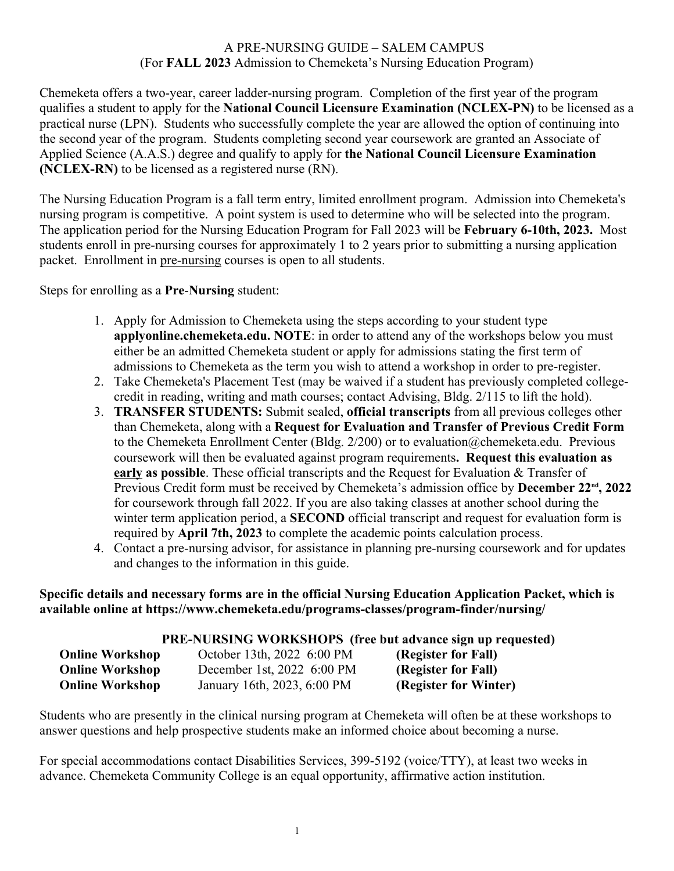# A PRE-NURSING GUIDE – SALEM CAMPUS (For **FALL 2023** Admission to Chemeketa's Nursing Education Program)

Chemeketa offers a two-year, career ladder-nursing program. Completion of the first year of the program qualifies a student to apply for the **National Council Licensure Examination (NCLEX-PN)** to be licensed as a practical nurse (LPN). Students who successfully complete the year are allowed the option of continuing into the second year of the program. Students completing second year coursework are granted an Associate of Applied Science (A.A.S.) degree and qualify to apply for **the National Council Licensure Examination (NCLEX-RN)** to be licensed as a registered nurse (RN).

The Nursing Education Program is a fall term entry, limited enrollment program. Admission into Chemeketa's nursing program is competitive. A point system is used to determine who will be selected into the program. The application period for the Nursing Education Program for Fall 2023 will be **February 6-10th, 2023.** Most students enroll in pre-nursing courses for approximately 1 to 2 years prior to submitting a nursing application packet. Enrollment in pre-nursing courses is open to all students.

Steps for enrolling as a **Pre**-**Nursing** student:

- 1. Apply for Admission to Chemeketa using the steps according to your student type **applyonline.chemeketa.edu. NOTE**: in order to attend any of the workshops below you must either be an admitted Chemeketa student or apply for admissions stating the first term of admissions to Chemeketa as the term you wish to attend a workshop in order to pre-register.
- 2. Take Chemeketa's Placement Test (may be waived if a student has previously completed collegecredit in reading, writing and math courses; contact Advising, Bldg. 2/115 to lift the hold).
- 3. **TRANSFER STUDENTS:** Submit sealed, **official transcripts** from all previous colleges other than Chemeketa, along with a **Request for Evaluation and Transfer of Previous Credit Form** to the Chemeketa Enrollment Center (Bldg. 2/200) or to evaluation@chemeketa.edu. Previous coursework will then be evaluated against program requirements**. Request this evaluation as early as possible**. These official transcripts and the Request for Evaluation & Transfer of Previous Credit form must be received by Chemeketa's admission office by **December 22nd, 2022** for coursework through fall 2022. If you are also taking classes at another school during the winter term application period, a **SECOND** official transcript and request for evaluation form is required by **April 7th, 2023** to complete the academic points calculation process.
- 4. Contact a pre-nursing advisor, for assistance in planning pre-nursing coursework and for updates and changes to the information in this guide.

**Specific details and necessary forms are in the official Nursing Education Application Packet, which is available online at https://www.chemeketa.edu/programs-classes/program-finder/nursing/**

|  | PRE-NURSING WORKSHOPS (free but advance sign up requested) |
|--|------------------------------------------------------------|
|--|------------------------------------------------------------|

| <b>Online Workshop</b> | October 13th, 2022 6:00 PM  | (Register for Fall)   |  |
|------------------------|-----------------------------|-----------------------|--|
| <b>Online Workshop</b> | December 1st, 2022 6:00 PM  | (Register for Fall)   |  |
| <b>Online Workshop</b> | January 16th, 2023, 6:00 PM | (Register for Winter) |  |

Students who are presently in the clinical nursing program at Chemeketa will often be at these workshops to answer questions and help prospective students make an informed choice about becoming a nurse.

For special accommodations contact Disabilities Services, 399-5192 (voice/TTY), at least two weeks in advance. Chemeketa Community College is an equal opportunity, affirmative action institution.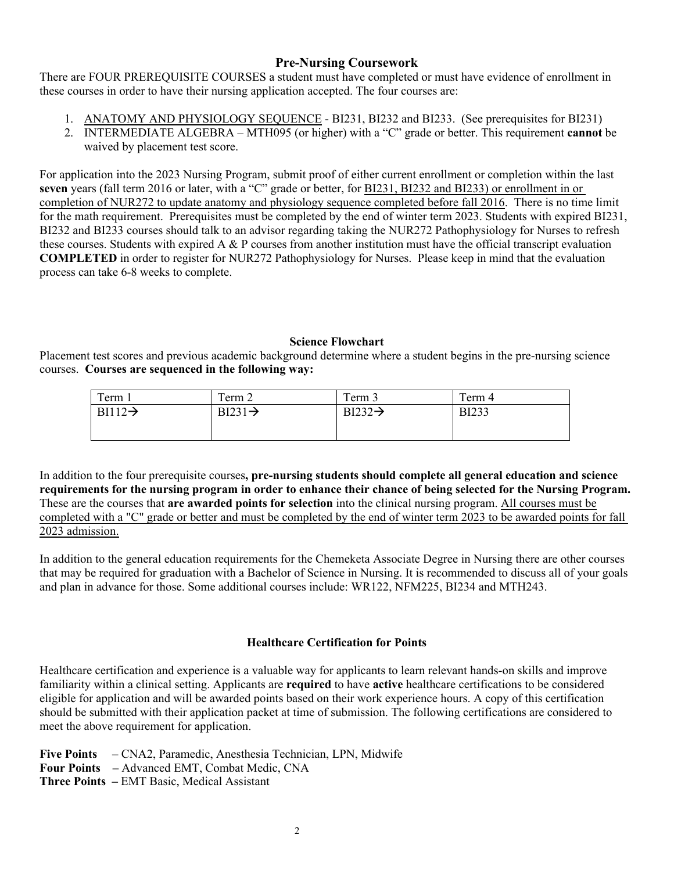## **Pre-Nursing Coursework**

There are FOUR PREREQUISITE COURSES a student must have completed or must have evidence of enrollment in these courses in order to have their nursing application accepted. The four courses are:

- 1. ANATOMY AND PHYSIOLOGY SEQUENCE BI231, BI232 and BI233. (See prerequisites for BI231)
- 2. INTERMEDIATE ALGEBRA MTH095 (or higher) with a "C" grade or better. This requirement **cannot** be waived by placement test score.

For application into the 2023 Nursing Program, submit proof of either current enrollment or completion within the last **seven** years (fall term 2016 or later, with a "C" grade or better, for BI231, BI232 and BI233) or enrollment in or completion of NUR272 to update anatomy and physiology sequence completed before fall 2016. There is no time limit for the math requirement. Prerequisites must be completed by the end of winter term 2023. Students with expired BI231, BI232 and BI233 courses should talk to an advisor regarding taking the NUR272 Pathophysiology for Nurses to refresh these courses. Students with expired A  $\&$  P courses from another institution must have the official transcript evaluation **COMPLETED** in order to register for NUR272 Pathophysiology for Nurses. Please keep in mind that the evaluation process can take 6-8 weeks to complete.

### **Science Flowchart**

Placement test scores and previous academic background determine where a student begins in the pre-nursing science courses. **Courses are sequenced in the following way:**

| Term 1              | $\mathbf{r}$<br>l'erm 2 | $\mathbf{r}$<br>Term 3                    | $\mathbf{r}$<br>l'erm 4 |
|---------------------|-------------------------|-------------------------------------------|-------------------------|
| $BI112 \rightarrow$ | $BI231 \rightarrow$     | $\overline{B1232} \rightarrow$<br>DIZJZ 7 | <b>BI233</b>            |
|                     |                         |                                           |                         |
|                     |                         |                                           |                         |

In addition to the four prerequisite courses**, pre-nursing students should complete all general education and science requirements for the nursing program in order to enhance their chance of being selected for the Nursing Program.** These are the courses that **are awarded points for selection** into the clinical nursing program. All courses must be completed with a "C" grade or better and must be completed by the end of winter term 2023 to be awarded points for fall 2023 admission.

In addition to the general education requirements for the Chemeketa Associate Degree in Nursing there are other courses that may be required for graduation with a Bachelor of Science in Nursing. It is recommended to discuss all of your goals and plan in advance for those. Some additional courses include: WR122, NFM225, BI234 and MTH243.

### **Healthcare Certification for Points**

Healthcare certification and experience is a valuable way for applicants to learn relevant hands-on skills and improve familiarity within a clinical setting. Applicants are **required** to have **active** healthcare certifications to be considered eligible for application and will be awarded points based on their work experience hours. A copy of this certification should be submitted with their application packet at time of submission. The following certifications are considered to meet the above requirement for application.

**Five Points** – CNA2, Paramedic, Anesthesia Technician, LPN, Midwife **Four Points –** Advanced EMT, Combat Medic, CNA **Three Points –** EMT Basic, Medical Assistant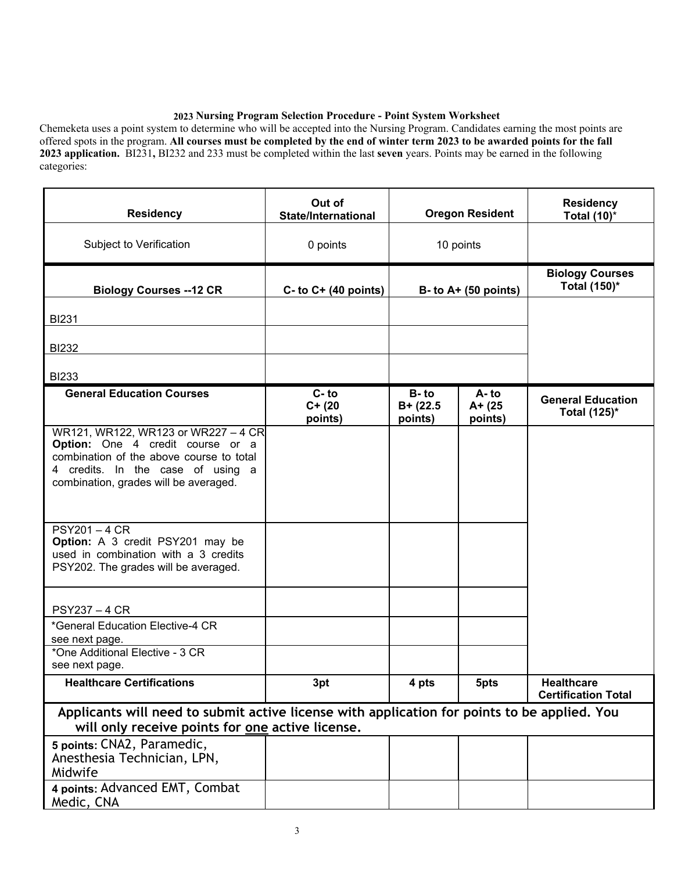#### **2023 Nursing Program Selection Procedure - Point System Worksheet**

Chemeketa uses a point system to determine who will be accepted into the Nursing Program. Candidates earning the most points are offered spots in the program. **All courses must be completed by the end of winter term 2023 to be awarded points for the fall 2023 application.** BI231**,** BI232 and 233 must be completed within the last **seven** years. Points may be earned in the following categories:

| <b>Residency</b>                                                                                                                                                                                  | Out of<br><b>State/International</b> | <b>Oregon Resident</b>            |                           | <b>Residency</b><br>Total $(10)^*$              |
|---------------------------------------------------------------------------------------------------------------------------------------------------------------------------------------------------|--------------------------------------|-----------------------------------|---------------------------|-------------------------------------------------|
| Subject to Verification                                                                                                                                                                           | 0 points                             | 10 points                         |                           |                                                 |
| <b>Biology Courses -- 12 CR</b>                                                                                                                                                                   | $C-$ to $C+$ (40 points)             |                                   | $B - to A + (50 points)$  | <b>Biology Courses</b><br>Total (150)*          |
| <b>BI231</b>                                                                                                                                                                                      |                                      |                                   |                           |                                                 |
| <b>BI232</b>                                                                                                                                                                                      |                                      |                                   |                           |                                                 |
| <b>BI233</b>                                                                                                                                                                                      |                                      |                                   |                           |                                                 |
| <b>General Education Courses</b>                                                                                                                                                                  | $C - to$<br>$C+ (20)$<br>points)     | $B - to$<br>$B+ (22.5$<br>points) | A-to<br>A+ (25<br>points) | <b>General Education</b><br>Total (125)*        |
| WR121, WR122, WR123 or WR227 - 4 CR<br>Option: One 4 credit course or a<br>combination of the above course to total<br>4 credits. In the case of using a<br>combination, grades will be averaged. |                                      |                                   |                           |                                                 |
| <b>PSY201-4 CR</b><br>Option: A 3 credit PSY201 may be<br>used in combination with a 3 credits<br>PSY202. The grades will be averaged.                                                            |                                      |                                   |                           |                                                 |
| <b>PSY237 - 4 CR</b>                                                                                                                                                                              |                                      |                                   |                           |                                                 |
| *General Education Elective-4 CR<br>see next page.                                                                                                                                                |                                      |                                   |                           |                                                 |
| *One Additional Elective - 3 CR<br>see next page.                                                                                                                                                 |                                      |                                   |                           |                                                 |
| <b>Healthcare Certifications</b>                                                                                                                                                                  | 3pt                                  | 4 pts                             | 5pts                      | <b>Healthcare</b><br><b>Certification Total</b> |
| Applicants will need to submit active license with application for points to be applied. You<br>will only receive points for one active license.                                                  |                                      |                                   |                           |                                                 |
| 5 points: CNA2, Paramedic,<br>Anesthesia Technician, LPN,<br>Midwife                                                                                                                              |                                      |                                   |                           |                                                 |
| 4 points: Advanced EMT, Combat<br>Medic, CNA                                                                                                                                                      |                                      |                                   |                           |                                                 |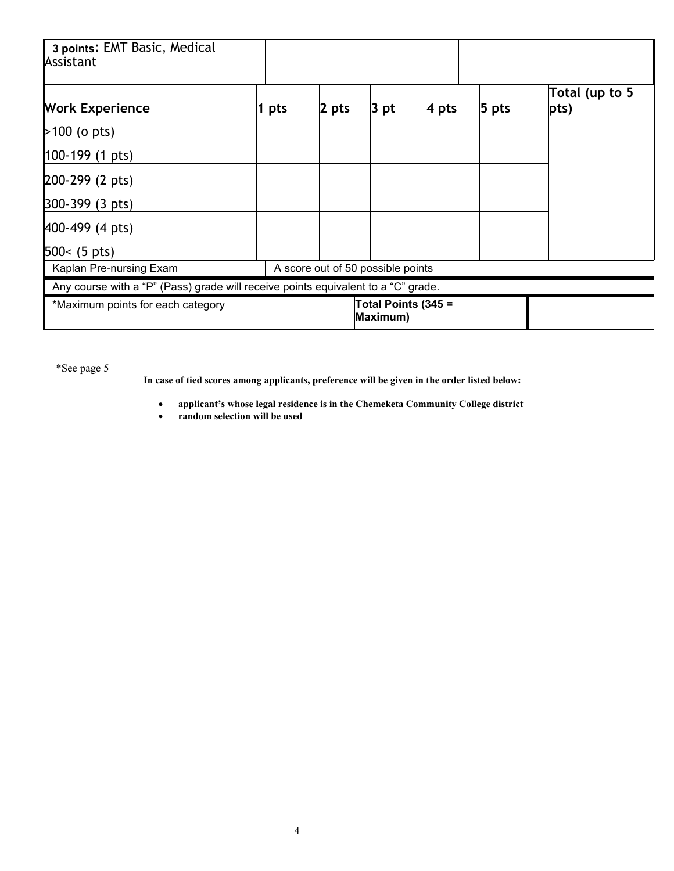| 3 points: EMT Basic, Medical<br>Assistant                                         |     |                                   |                                 |               |         |                         |
|-----------------------------------------------------------------------------------|-----|-----------------------------------|---------------------------------|---------------|---------|-------------------------|
| <b>Work Experience</b>                                                            | pts | $\vert$ 2 pts                     | $ 3$ pt                         | $\vert$ 4 pts | $5$ pts | Total (up to 5<br> pts) |
| $>100$ (o pts)                                                                    |     |                                   |                                 |               |         |                         |
| 100-199 (1 pts)                                                                   |     |                                   |                                 |               |         |                         |
| 200-299 (2 pts)                                                                   |     |                                   |                                 |               |         |                         |
| 300-399 (3 pts)                                                                   |     |                                   |                                 |               |         |                         |
| 400-499 (4 pts)                                                                   |     |                                   |                                 |               |         |                         |
| $500 < (5 \text{ pts})$                                                           |     |                                   |                                 |               |         |                         |
| Kaplan Pre-nursing Exam                                                           |     | A score out of 50 possible points |                                 |               |         |                         |
| Any course with a "P" (Pass) grade will receive points equivalent to a "C" grade. |     |                                   |                                 |               |         |                         |
| *Maximum points for each category                                                 |     |                                   | Total Points (345 =<br>Maximum) |               |         |                         |

\*See page 5

**In case of tied scores among applicants, preference will be given in the order listed below:**

- **applicant's whose legal residence is in the Chemeketa Community College district**
- **random selection will be used**